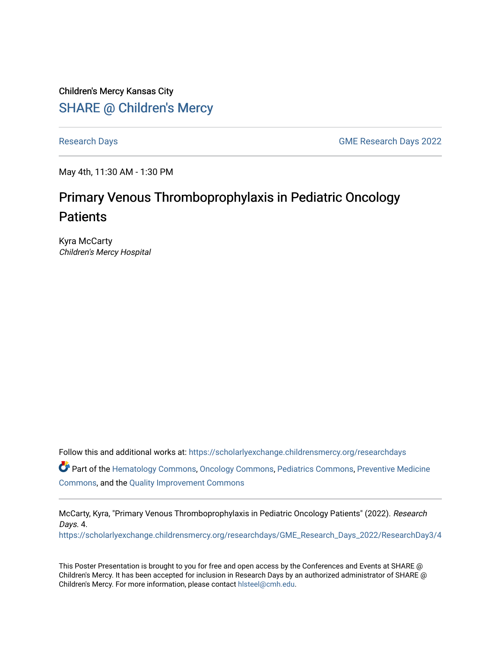Children's Mercy Kansas City SHARE @ Children's Mercy

[Research Days](https://scholarlyexchange.childrensmercy.org/researchdays) [GME Research Days 2022](https://scholarlyexchange.childrensmercy.org/researchdays/GME_Research_Days_2022) 

May 4th, 11:30 AM - 1:30 PM

## Primary Venous Thromboprophylaxis in Pediatric Oncology **Patients**

Kyra McCarty Children's Mercy Hospital

Follow this and additional works at: [https://scholarlyexchange.childrensmercy.org/researchdays](https://scholarlyexchange.childrensmercy.org/researchdays?utm_source=scholarlyexchange.childrensmercy.org%2Fresearchdays%2FGME_Research_Days_2022%2FResearchDay3%2F4&utm_medium=PDF&utm_campaign=PDFCoverPages) 

Part of the [Hematology Commons,](http://network.bepress.com/hgg/discipline/1059?utm_source=scholarlyexchange.childrensmercy.org%2Fresearchdays%2FGME_Research_Days_2022%2FResearchDay3%2F4&utm_medium=PDF&utm_campaign=PDFCoverPages) [Oncology Commons,](http://network.bepress.com/hgg/discipline/694?utm_source=scholarlyexchange.childrensmercy.org%2Fresearchdays%2FGME_Research_Days_2022%2FResearchDay3%2F4&utm_medium=PDF&utm_campaign=PDFCoverPages) [Pediatrics Commons](http://network.bepress.com/hgg/discipline/700?utm_source=scholarlyexchange.childrensmercy.org%2Fresearchdays%2FGME_Research_Days_2022%2FResearchDay3%2F4&utm_medium=PDF&utm_campaign=PDFCoverPages), [Preventive Medicine](http://network.bepress.com/hgg/discipline/703?utm_source=scholarlyexchange.childrensmercy.org%2Fresearchdays%2FGME_Research_Days_2022%2FResearchDay3%2F4&utm_medium=PDF&utm_campaign=PDFCoverPages)  [Commons](http://network.bepress.com/hgg/discipline/703?utm_source=scholarlyexchange.childrensmercy.org%2Fresearchdays%2FGME_Research_Days_2022%2FResearchDay3%2F4&utm_medium=PDF&utm_campaign=PDFCoverPages), and the [Quality Improvement Commons](http://network.bepress.com/hgg/discipline/1430?utm_source=scholarlyexchange.childrensmercy.org%2Fresearchdays%2FGME_Research_Days_2022%2FResearchDay3%2F4&utm_medium=PDF&utm_campaign=PDFCoverPages) 

McCarty, Kyra, "Primary Venous Thromboprophylaxis in Pediatric Oncology Patients" (2022). Research Days. 4.

[https://scholarlyexchange.childrensmercy.org/researchdays/GME\\_Research\\_Days\\_2022/ResearchDay3/4](https://scholarlyexchange.childrensmercy.org/researchdays/GME_Research_Days_2022/ResearchDay3/4?utm_source=scholarlyexchange.childrensmercy.org%2Fresearchdays%2FGME_Research_Days_2022%2FResearchDay3%2F4&utm_medium=PDF&utm_campaign=PDFCoverPages) 

This Poster Presentation is brought to you for free and open access by the Conferences and Events at SHARE @ Children's Mercy. It has been accepted for inclusion in Research Days by an authorized administrator of SHARE @ Children's Mercy. For more information, please contact [hlsteel@cmh.edu](mailto:hlsteel@cmh.edu).